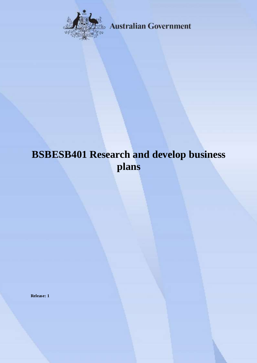

**Australian Government** 

# **BSBESB401 Research and develop business plans**

**Release: 1**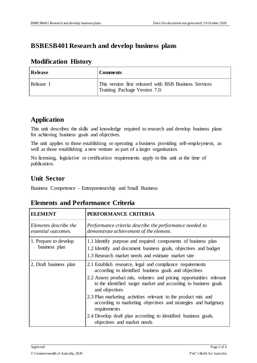## **BSBESB401 Research and develop business plans**

#### **Modification History**

| Release   | <b>Comments</b>                                                                         |
|-----------|-----------------------------------------------------------------------------------------|
| Release 1 | This version first released with BSB Business Services<br>Training Package Version 7.0. |

## **Application**

This unit describes the skills and knowledge required to research and develop business plans for achieving business goals and objectives.

The unit applies to those establishing or operating a business providing self-employment, as well as those establishing a new venture as part of a larger organisation.

No licensing, legislative or certification requirements apply to this unit at the time of publication.

## **Unit Sector**

Business Competence – Entrepreneurship and Small Business

#### **Elements and Performance Criteria**

| <b>ELEMENT</b>                               | PERFORMANCE CRITERIA                                                                                                                                                                   |
|----------------------------------------------|----------------------------------------------------------------------------------------------------------------------------------------------------------------------------------------|
| Elements describe the<br>essential outcomes. | Performance criteria describe the performance needed to<br>demonstrate achievement of the element.                                                                                     |
| 1. Prepare to develop<br>business plan       | 1.1 Identify purpose and required components of business plan<br>1.2 Identify and document business goals, objectives and budget<br>1.3 Research market needs and estimate market size |
| 2. Draft business plan                       | 2.1 Establish resource, legal and compliance requirements<br>according to identified business goals and objectives                                                                     |
|                                              | 2.2 Assess product mix, volumes and pricing opportunities relevant<br>to the identified target market and according to business goals<br>and objectives                                |
|                                              | 2.3 Plan marketing activities relevant to the product mix and<br>according to marketing objectives and strategies and budgetary<br>requirements                                        |
|                                              | 2.4 Develop draft plan according to identified business goals,<br>objectives and market needs                                                                                          |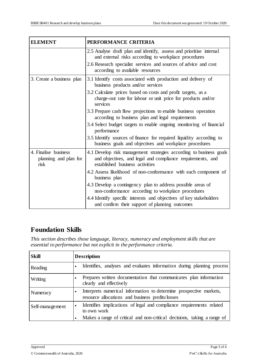| <b>ELEMENT</b>                                        | PERFORMANCE CRITERIA                                                                                                                                                |
|-------------------------------------------------------|---------------------------------------------------------------------------------------------------------------------------------------------------------------------|
|                                                       | 2.5 Analyse draft plan and identify, assess and prioritise internal<br>and external risks according to workplace procedures                                         |
|                                                       | 2.6 Research specialist services and sources of advice and cost<br>according to available resources                                                                 |
| 3. Create a business plan                             | 3.1 Identify costs associated with production and delivery of<br>business products and/or services                                                                  |
|                                                       | 3.2 Calculate prices based on costs and profit targets, as a<br>charge-out rate for labour or unit price for products and/or<br>services                            |
|                                                       | 3.3 Prepare cash flow projections to enable business operation<br>according to business plan and legal requirements                                                 |
|                                                       | 3.4 Select budget targets to enable ongoing monitoring of financial<br>performance                                                                                  |
|                                                       | 3.5 Identify sources of finance for required liquidity according to<br>business goals and objectives and workplace procedures                                       |
| 4. Finalise business<br>planning and plan for<br>risk | 4.1 Develop risk management strategies according to business goals<br>and objectives, and legal and compliance requirements, and<br>established business activities |
|                                                       | 4.2 Assess likelihood of non-conformance with each component of<br>business plan                                                                                    |
|                                                       | 4.3 Develop a contingency plan to address possible areas of<br>non-conformance according to workplace procedures                                                    |
|                                                       | 4.4 Identify specific interests and objectives of key stakeholders<br>and confirm their support of planning outcomes                                                |

## **Foundation Skills**

*This section describes those language, literacy, numeracy and employment skills that are essential to performance but not explicit in the performance criteria.*

| <b>Skill</b>    | <b>Description</b>                                                                                                     |
|-----------------|------------------------------------------------------------------------------------------------------------------------|
| Reading         | Identifies, analyses and evaluates information during planning process                                                 |
| Writing         | Prepares written documentation that communicates plan information<br>clearly and effectively                           |
| Numeracy        | Interprets numerical information to determine prospective markets,<br>resource allocations and business profits/losses |
| Self-management | Identifies implications of legal and compliance requirements related<br>to own work                                    |
|                 | Makes a range of critical and non-critical decisions, taking a range of                                                |